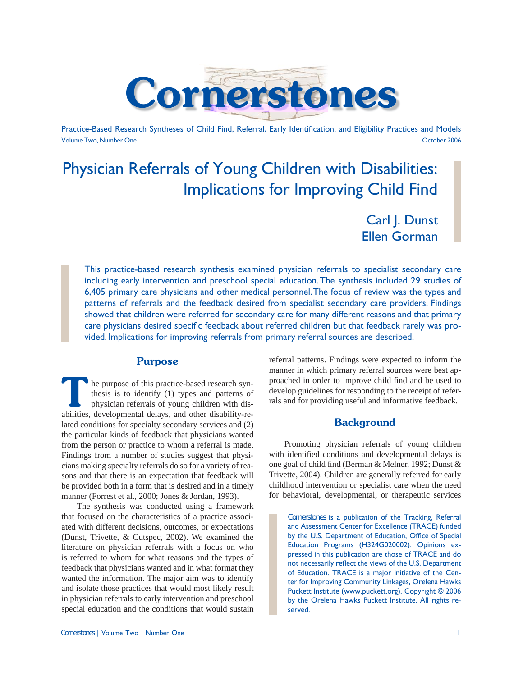

Practice-Based Research Syntheses of Child Find, Referral, Early Identification, and Eligibility Practices and Models Volume Two, Number One October 2006

# Physician Referrals of Young Children with Disabilities: Implications for Improving Child Find

Carl J. Dunst Ellen Gorman

This practice-based research synthesis examined physician referrals to specialist secondary care including early intervention and preschool special education. The synthesis included 29 studies of 6,405 primary care physicians and other medical personnel. The focus of review was the types and patterns of referrals and the feedback desired from specialist secondary care providers. Findings showed that children were referred for secondary care for many different reasons and that primary care physicians desired specific feedback about referred children but that feedback rarely was provided. Implications for improving referrals from primary referral sources are described.

## **Purpose**

**The purpose of this practice-based research syn-<br>thesis is to identify (1) types and patterns of<br>physician referrals of young children with dis-<br>philities developmental delays, and other displility re**thesis is to identify (1) types and patterns of physician referrals of young children with disabilities, developmental delays, and other disability-related conditions for specialty secondary services and (2) the particular kinds of feedback that physicians wanted from the person or practice to whom a referral is made. Findings from a number of studies suggest that physicians making specialty referrals do so for a variety of reasons and that there is an expectation that feedback will be provided both in a form that is desired and in a timely manner (Forrest et al., 2000; Jones & Jordan, 1993).

 The synthesis was conducted using a framework that focused on the characteristics of a practice associated with different decisions, outcomes, or expectations (Dunst, Trivette, & Cutspec, 2002). We examined the literature on physician referrals with a focus on who is referred to whom for what reasons and the types of feedback that physicians wanted and in what format they wanted the information. The major aim was to identify and isolate those practices that would most likely result in physician referrals to early intervention and preschool special education and the conditions that would sustain

referral patterns. Findings were expected to inform the manner in which primary referral sources were best approached in order to improve child find and be used to develop guidelines for responding to the receipt of referrals and for providing useful and informative feedback.

# **Background**

 Promoting physician referrals of young children with identified conditions and developmental delays is one goal of child find (Berman & Melner, 1992; Dunst & Trivette, 2004). Children are generally referred for early childhood intervention or specialist care when the need for behavioral, developmental, or therapeutic services

*Cornerstones* is a publication of the Tracking, Referral and Assessment Center for Excellence (TRACE) funded by the U.S. Department of Education, Office of Special Education Programs (H324G020002). Opinions expressed in this publication are those of TRACE and do not necessarily reflect the views of the U.S. Department of Education. TRACE is a major initiative of the Center for Improving Community Linkages, Orelena Hawks Puckett Institute (www.puckett.org). Copyright © 2006 by the Orelena Hawks Puckett Institute. All rights reserved.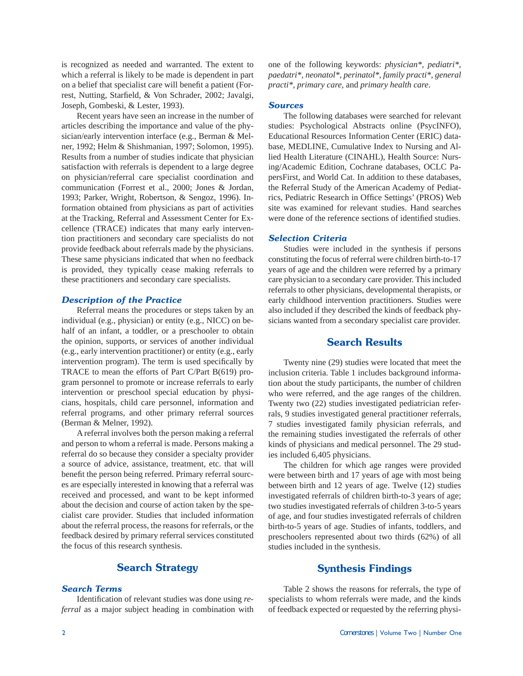is recognized as needed and warranted. The extent to which a referral is likely to be made is dependent in part on a belief that specialist care will benefit a patient (Forrest, Nutting, Starfield, & Von Schrader, 2002; Javalgi, Joseph, Gombeski, & Lester, 1993).

 Recent years have seen an increase in the number of articles describing the importance and value of the physician/early intervention interface (e.g., Berman & Melner, 1992; Helm & Shishmanian, 1997; Solomon, 1995). Results from a number of studies indicate that physician satisfaction with referrals is dependent to a large degree on physician/referral care specialist coordination and communication (Forrest et al., 2000; Jones & Jordan, 1993; Parker, Wright, Robertson, & Sengoz, 1996). Information obtained from physicians as part of activities at the Tracking, Referral and Assessment Center for Excellence (TRACE) indicates that many early intervention practitioners and secondary care specialists do not provide feedback about referrals made by the physicians. These same physicians indicated that when no feedback is provided, they typically cease making referrals to these practitioners and secondary care specialists.

### *Description of the Practice*

 Referral means the procedures or steps taken by an individual (e.g., physician) or entity (e.g., NICC) on behalf of an infant, a toddler, or a preschooler to obtain the opinion, supports, or services of another individual (e.g., early intervention practitioner) or entity (e.g., early intervention program). The term is used specifically by TRACE to mean the efforts of Part C/Part B(619) program personnel to promote or increase referrals to early intervention or preschool special education by physicians, hospitals, child care personnel, information and referral programs, and other primary referral sources (Berman & Melner, 1992).

 A referral involves both the person making a referral and person to whom a referral is made. Persons making a referral do so because they consider a specialty provider a source of advice, assistance, treatment, etc. that will benefit the person being referred. Primary referral sources are especially interested in knowing that a referral was received and processed, and want to be kept informed about the decision and course of action taken by the specialist care provider. Studies that included information about the referral process, the reasons for referrals, or the feedback desired by primary referral services constituted the focus of this research synthesis.

# **Search Strategy**

#### *Search Terms*

Identification of relevant studies was done using *referral* as a major subject heading in combination with

one of the following keywords: *physician\*, pediatri\*, paedatri\*, neonatol\*, perinatol\*, family practi\*, general practi\*, primary care,* and *primary health care*.

#### *Sources*

 The following databases were searched for relevant studies: Psychological Abstracts online (PsycINFO), Educational Resources Information Center (ERIC) database, MEDLINE, Cumulative Index to Nursing and Allied Health Literature (CINAHL), Health Source: Nursing/Academic Edition, Cochrane databases, OCLC PapersFirst, and World Cat. In addition to these databases, the Referral Study of the American Academy of Pediatrics, Pediatric Research in Office Settings' (PROS) Web site was examined for relevant studies. Hand searches were done of the reference sections of identified studies.

#### *Selection Criteria*

 Studies were included in the synthesis if persons constituting the focus of referral were children birth-to-17 years of age and the children were referred by a primary care physician to a secondary care provider. This included referrals to other physicians, developmental therapists, or early childhood intervention practitioners. Studies were also included if they described the kinds of feedback physicians wanted from a secondary specialist care provider.

## **Search Results**

 Twenty nine (29) studies were located that meet the inclusion criteria. Table 1 includes background information about the study participants, the number of children who were referred, and the age ranges of the children. Twenty two (22) studies investigated pediatrician referrals, 9 studies investigated general practitioner referrals, 7 studies investigated family physician referrals, and the remaining studies investigated the referrals of other kinds of physicians and medical personnel. The 29 studies included 6,405 physicians.

 The children for which age ranges were provided were between birth and 17 years of age with most being between birth and 12 years of age. Twelve (12) studies investigated referrals of children birth-to-3 years of age; two studies investigated referrals of children 3-to-5 years of age, and four studies investigated referrals of children birth-to-5 years of age. Studies of infants, toddlers, and preschoolers represented about two thirds (62%) of all studies included in the synthesis.

#### **Synthesis Findings**

 Table 2 shows the reasons for referrals, the type of specialists to whom referrals were made, and the kinds of feedback expected or requested by the referring physi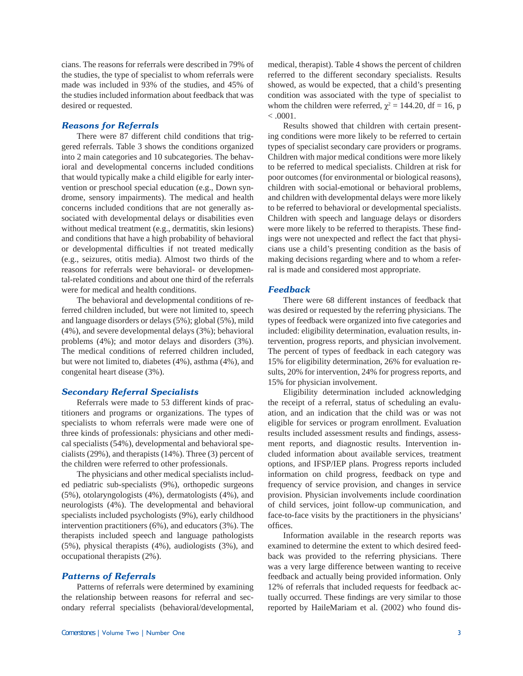cians. The reasons for referrals were described in 79% of the studies, the type of specialist to whom referrals were made was included in 93% of the studies, and 45% of the studies included information about feedback that was desired or requested.

#### *Reasons for Referrals*

 There were 87 different child conditions that triggered referrals. Table 3 shows the conditions organized into 2 main categories and 10 subcategories. The behavioral and developmental concerns included conditions that would typically make a child eligible for early intervention or preschool special education (e.g., Down syndrome, sensory impairments). The medical and health concerns included conditions that are not generally associated with developmental delays or disabilities even without medical treatment (e.g., dermatitis, skin lesions) and conditions that have a high probability of behavioral or developmental difficulties if not treated medically (e.g., seizures, otitis media). Almost two thirds of the reasons for referrals were behavioral- or developmental-related conditions and about one third of the referrals were for medical and health conditions.

 The behavioral and developmental conditions of referred children included, but were not limited to, speech and language disorders or delays (5%); global (5%), mild (4%), and severe developmental delays (3%); behavioral problems (4%); and motor delays and disorders (3%). The medical conditions of referred children included, but were not limited to, diabetes (4%), asthma (4%), and congenital heart disease (3%).

#### *Secondary Referral Specialists*

 Referrals were made to 53 different kinds of practitioners and programs or organizations. The types of specialists to whom referrals were made were one of three kinds of professionals: physicians and other medical specialists (54%), developmental and behavioral specialists (29%), and therapists (14%). Three (3) percent of the children were referred to other professionals.

 The physicians and other medical specialists included pediatric sub-specialists (9%), orthopedic surgeons (5%), otolaryngologists (4%), dermatologists (4%), and neurologists (4%). The developmental and behavioral specialists included psychologists (9%), early childhood intervention practitioners (6%), and educators (3%). The therapists included speech and language pathologists (5%), physical therapists (4%), audiologists (3%), and occupational therapists (2%).

#### *Patterns of Referrals*

 Patterns of referrals were determined by examining the relationship between reasons for referral and secondary referral specialists (behavioral/developmental,

medical, therapist). Table 4 shows the percent of children referred to the different secondary specialists. Results showed, as would be expected, that a child's presenting condition was associated with the type of specialist to whom the children were referred,  $\chi^2 = 144.20$ , df = 16, p  $< .0001.$ 

 Results showed that children with certain presenting conditions were more likely to be referred to certain types of specialist secondary care providers or programs. Children with major medical conditions were more likely to be referred to medical specialists. Children at risk for poor outcomes (for environmental or biological reasons), children with social-emotional or behavioral problems, and children with developmental delays were more likely to be referred to behavioral or developmental specialists. Children with speech and language delays or disorders were more likely to be referred to therapists. These findings were not unexpected and reflect the fact that physicians use a child's presenting condition as the basis of making decisions regarding where and to whom a referral is made and considered most appropriate.

#### *Feedback*

 There were 68 different instances of feedback that was desired or requested by the referring physicians. The types of feedback were organized into five categories and included: eligibility determination, evaluation results, intervention, progress reports, and physician involvement. The percent of types of feedback in each category was 15% for eligibility determination, 26% for evaluation results, 20% for intervention, 24% for progress reports, and 15% for physician involvement.

 Eligibility determination included acknowledging the receipt of a referral, status of scheduling an evaluation, and an indication that the child was or was not eligible for services or program enrollment. Evaluation results included assessment results and findings, assessment reports, and diagnostic results. Intervention included information about available services, treatment options, and IFSP/IEP plans. Progress reports included information on child progress, feedback on type and frequency of service provision, and changes in service provision. Physician involvements include coordination of child services, joint follow-up communication, and face-to-face visits by the practitioners in the physicians' offices.

 Information available in the research reports was examined to determine the extent to which desired feedback was provided to the referring physicians. There was a very large difference between wanting to receive feedback and actually being provided information. Only 12% of referrals that included requests for feedback actually occurred. These findings are very similar to those reported by HaileMariam et al. (2002) who found dis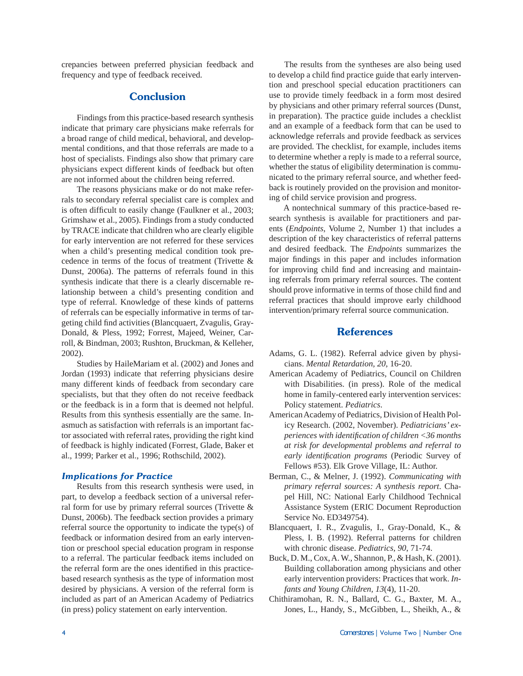crepancies between preferred physician feedback and frequency and type of feedback received.

## **Conclusion**

 Findings from this practice-based research synthesis indicate that primary care physicians make referrals for a broad range of child medical, behavioral, and developmental conditions, and that those referrals are made to a host of specialists. Findings also show that primary care physicians expect different kinds of feedback but often are not informed about the children being referred.

 The reasons physicians make or do not make referrals to secondary referral specialist care is complex and is often difficult to easily change (Faulkner et al., 2003; Grimshaw et al., 2005). Findings from a study conducted by TRACE indicate that children who are clearly eligible for early intervention are not referred for these services when a child's presenting medical condition took precedence in terms of the focus of treatment (Trivette & Dunst, 2006a). The patterns of referrals found in this synthesis indicate that there is a clearly discernable relationship between a child's presenting condition and type of referral. Knowledge of these kinds of patterns of referrals can be especially informative in terms of targeting child find activities (Blancquaert, Zvagulis, Gray-Donald, & Pless, 1992; Forrest, Majeed, Weiner, Carroll, & Bindman, 2003; Rushton, Bruckman, & Kelleher, 2002).

 Studies by HaileMariam et al. (2002) and Jones and Jordan (1993) indicate that referring physicians desire many different kinds of feedback from secondary care specialists, but that they often do not receive feedback or the feedback is in a form that is deemed not helpful. Results from this synthesis essentially are the same. Inasmuch as satisfaction with referrals is an important factor associated with referral rates, providing the right kind of feedback is highly indicated (Forrest, Glade, Baker et al., 1999; Parker et al., 1996; Rothschild, 2002).

#### *Implications for Practice*

 Results from this research synthesis were used, in part, to develop a feedback section of a universal referral form for use by primary referral sources (Trivette & Dunst, 2006b). The feedback section provides a primary referral source the opportunity to indicate the type(s) of feedback or information desired from an early intervention or preschool special education program in response to a referral. The particular feedback items included on the referral form are the ones identified in this practicebased research synthesis as the type of information most desired by physicians. A version of the referral form is included as part of an American Academy of Pediatrics (in press) policy statement on early intervention.

 The results from the syntheses are also being used to develop a child find practice guide that early intervention and preschool special education practitioners can use to provide timely feedback in a form most desired by physicians and other primary referral sources (Dunst, in preparation). The practice guide includes a checklist and an example of a feedback form that can be used to acknowledge referrals and provide feedback as services are provided. The checklist, for example, includes items to determine whether a reply is made to a referral source, whether the status of eligibility determination is communicated to the primary referral source, and whether feedback is routinely provided on the provision and monitoring of child service provision and progress.

 A nontechnical summary of this practice-based research synthesis is available for practitioners and parents (*Endpoints*, Volume 2, Number 1) that includes a description of the key characteristics of referral patterns and desired feedback. The *Endpoints* summarizes the major findings in this paper and includes information for improving child find and increasing and maintaining referrals from primary referral sources. The content should prove informative in terms of those child find and referral practices that should improve early childhood intervention/primary referral source communication.

## **References**

- Adams, G. L. (1982). Referral advice given by physicians. *Mental Retardation, 20*, 16-20.
- American Academy of Pediatrics, Council on Children with Disabilities. (in press). Role of the medical home in family-centered early intervention services: Policy statement. *Pediatrics*.
- American Academy of Pediatrics, Division of Health Policy Research. (2002, November). *Pediatricians' experiences with identifi cation of children <36 months at risk for developmental problems and referral to early identifi cation programs* (Periodic Survey of Fellows #53). Elk Grove Village, IL: Author.
- Berman, C., & Melner, J. (1992). *Communicating with primary referral sources: A synthesis report*. Chapel Hill, NC: National Early Childhood Technical Assistance System (ERIC Document Reproduction Service No. ED349754).
- Blancquaert, I. R., Zvagulis, I., Gray-Donald, K., & Pless, I. B. (1992). Referral patterns for children with chronic disease. *Pediatrics, 90*, 71-74.
- Buck, D. M., Cox, A. W., Shannon, P., & Hash, K. (2001). Building collaboration among physicians and other early intervention providers: Practices that work. *Infants and Young Children, 13*(4), 11-20.
- Chithiramohan, R. N., Ballard, C. G., Baxter, M. A., Jones, L., Handy, S., McGibben, L., Sheikh, A., &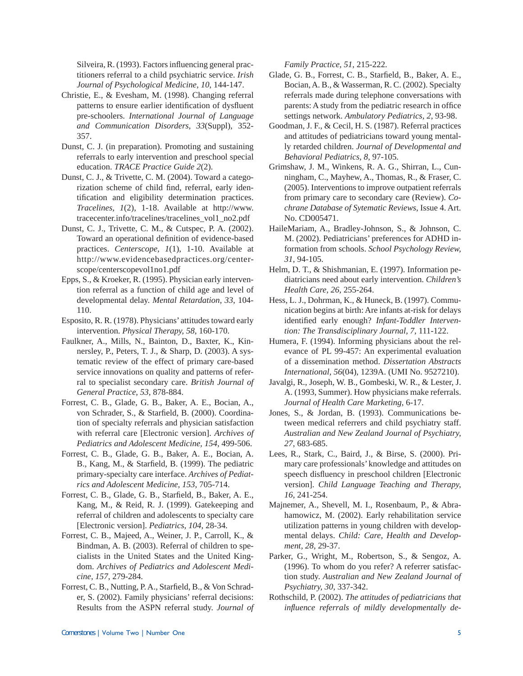Silveira, R. (1993). Factors influencing general practitioners referral to a child psychiatric service. *Irish Journal of Psychological Medicine, 10*, 144-147.

- Christie, E., & Evesham, M. (1998). Changing referral patterns to ensure earlier identification of dysfluent pre-schoolers. *International Journal of Language and Communication Disorders, 33*(Suppl), 352- 357.
- Dunst, C. J. (in preparation). Promoting and sustaining referrals to early intervention and preschool special education. *TRACE Practice Guide 2*(2).
- Dunst, C. J., & Trivette, C. M. (2004). Toward a categorization scheme of child find, referral, early identification and eligibility determination practices. *Tracelines, 1*(2), 1-18. Available at http://www. tracecenter.info/tracelines/tracelines\_vol1\_no2.pdf
- Dunst, C. J., Trivette, C. M., & Cutspec, P. A. (2002). Toward an operational definition of evidence-based practices. *Centerscope, 1*(1), 1-10. Available at http://www.evidencebasedpractices.org/centerscope/centerscopevol1no1.pdf
- Epps, S., & Kroeker, R. (1995). Physician early intervention referral as a function of child age and level of developmental delay. *Mental Retardation, 33*, 104- 110.
- Esposito, R. R. (1978). Physicians' attitudes toward early intervention. *Physical Therapy, 58*, 160-170.
- Faulkner, A., Mills, N., Bainton, D., Baxter, K., Kinnersley, P., Peters, T. J., & Sharp, D. (2003). A systematic review of the effect of primary care-based service innovations on quality and patterns of referral to specialist secondary care. *British Journal of General Practice, 53*, 878-884.
- Forrest, C. B., Glade, G. B., Baker, A. E., Bocian, A., von Schrader, S., & Starfield, B. (2000). Coordination of specialty referrals and physician satisfaction with referral care [Electronic version]. *Archives of Pediatrics and Adolescent Medicine, 154*, 499-506.
- Forrest, C. B., Glade, G. B., Baker, A. E., Bocian, A. B., Kang, M., & Starfield, B. (1999). The pediatric primary-specialty care interface. *Archives of Pediatrics and Adolescent Medicine, 153*, 705-714.
- Forrest, C. B., Glade, G. B., Starfield, B., Baker, A. E., Kang, M., & Reid, R. J. (1999). Gatekeeping and referral of children and adolescents to specialty care [Electronic version]. *Pediatrics, 104*, 28-34.
- Forrest, C. B., Majeed, A., Weiner, J. P., Carroll, K., & Bindman, A. B. (2003). Referral of children to specialists in the United States and the United Kingdom. *Archives of Pediatrics and Adolescent Medicine, 157*, 279-284.
- Forrest, C. B., Nutting, P. A., Starfield, B., & Von Schrader, S. (2002). Family physicians' referral decisions: Results from the ASPN referral study. *Journal of*

*Family Practice, 51*, 215-222.

- Glade, G. B., Forrest, C. B., Starfield, B., Baker, A. E., Bocian, A. B., & Wasserman, R. C. (2002). Specialty referrals made during telephone conversations with parents: A study from the pediatric research in office settings network. *Ambulatory Pediatrics, 2*, 93-98.
- Goodman, J. F., & Cecil, H. S. (1987). Referral practices and attitudes of pediatricians toward young mentally retarded children. *Journal of Developmental and Behavioral Pediatrics, 8*, 97-105.
- Grimshaw, J. M., Winkens, R. A. G., Shirran, L., Cunningham, C., Mayhew, A., Thomas, R., & Fraser, C. (2005). Interventions to improve outpatient referrals from primary care to secondary care (Review). *Cochrane Database of Sytematic Reviews*, Issue 4. Art. No. CD005471.
- HaileMariam, A., Bradley-Johnson, S., & Johnson, C. M. (2002). Pediatricians' preferences for ADHD information from schools. *School Psychology Review, 31*, 94-105.
- Helm, D. T., & Shishmanian, E. (1997). Information pediatricians need about early intervention. *Children's Health Care, 26*, 255-264.
- Hess, L. J., Dohrman, K., & Huneck, B. (1997). Communication begins at birth: Are infants at-risk for delays identified early enough? Infant-Toddler Interven*tion: The Transdisciplinary Journal, 7*, 111-122.
- Humera, F. (1994). Informing physicians about the relevance of PL 99-457: An experimental evaluation of a dissemination method. *Dissertation Abstracts International, 56*(04), 1239A. (UMI No. 9527210).
- Javalgi, R., Joseph, W. B., Gombeski, W. R., & Lester, J. A. (1993, Summer). How physicians make referrals. *Journal of Health Care Marketing*, 6-17.
- Jones, S., & Jordan, B. (1993). Communications between medical referrers and child psychiatry staff. *Australian and New Zealand Journal of Psychiatry, 27*, 683-685.
- Lees, R., Stark, C., Baird, J., & Birse, S. (2000). Primary care professionals' knowledge and attitudes on speech disfluency in preschool children [Electronic version]. *Child Language Teaching and Therapy, 16*, 241-254.
- Majnemer, A., Shevell, M. I., Rosenbaum, P., & Abrahamowicz, M. (2002). Early rehabilitation service utilization patterns in young children with developmental delays. *Child: Care, Health and Development, 28*, 29-37.
- Parker, G., Wright, M., Robertson, S., & Sengoz, A. (1996). To whom do you refer? A referrer satisfaction study. *Australian and New Zealand Journal of Psychiatry, 30*, 337-342.
- Rothschild, P. (2002). *The attitudes of pediatricians that infl uence referrals of mildly developmentally de-*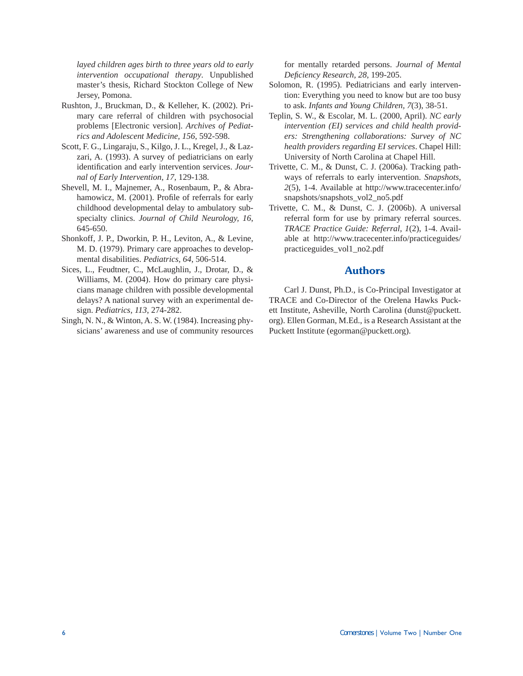*layed children ages birth to three years old to early intervention occupational therapy*. Unpublished master's thesis, Richard Stockton College of New Jersey, Pomona.

- Rushton, J., Bruckman, D., & Kelleher, K. (2002). Primary care referral of children with psychosocial problems [Electronic version]. *Archives of Pediatrics and Adolescent Medicine, 156*, 592-598.
- Scott, F. G., Lingaraju, S., Kilgo, J. L., Kregel, J., & Lazzari, A. (1993). A survey of pediatricians on early identification and early intervention services. *Journal of Early Intervention, 17*, 129-138.
- Shevell, M. I., Majnemer, A., Rosenbaum, P., & Abrahamowicz, M. (2001). Profile of referrals for early childhood developmental delay to ambulatory subspecialty clinics. *Journal of Child Neurology, 16*, 645-650.
- Shonkoff, J. P., Dworkin, P. H., Leviton, A., & Levine, M. D. (1979). Primary care approaches to developmental disabilities. *Pediatrics, 64*, 506-514.
- Sices, L., Feudtner, C., McLaughlin, J., Drotar, D., & Williams, M. (2004). How do primary care physicians manage children with possible developmental delays? A national survey with an experimental design. *Pediatrics, 113*, 274-282.
- Singh, N. N., & Winton, A. S. W. (1984). Increasing physicians' awareness and use of community resources

for mentally retarded persons. *Journal of Mental Defi ciency Research, 28*, 199-205.

- Solomon, R. (1995). Pediatricians and early intervention: Everything you need to know but are too busy to ask. *Infants and Young Children, 7*(3), 38-51.
- Teplin, S. W., & Escolar, M. L. (2000, April). *NC early intervention (EI) services and child health providers: Strengthening collaborations: Survey of NC health providers regarding EI services*. Chapel Hill: University of North Carolina at Chapel Hill.
- Trivette, C. M., & Dunst, C. J. (2006a). Tracking pathways of referrals to early intervention. *Snapshots, 2*(5), 1-4. Available at http://www.tracecenter.info/ snapshots/snapshots\_vol2\_no5.pdf
- Trivette, C. M., & Dunst, C. J. (2006b). A universal referral form for use by primary referral sources. *TRACE Practice Guide: Referral, 1*(2), 1-4. Available at http://www.tracecenter.info/practiceguides/ practiceguides\_vol1\_no2.pdf

## **Authors**

Carl J. Dunst, Ph.D., is Co-Principal Investigator at TRACE and Co-Director of the Orelena Hawks Puckett Institute, Asheville, North Carolina (dunst@puckett. org). Ellen Gorman, M.Ed., is a Research Assistant at the Puckett Institute (egorman@puckett.org).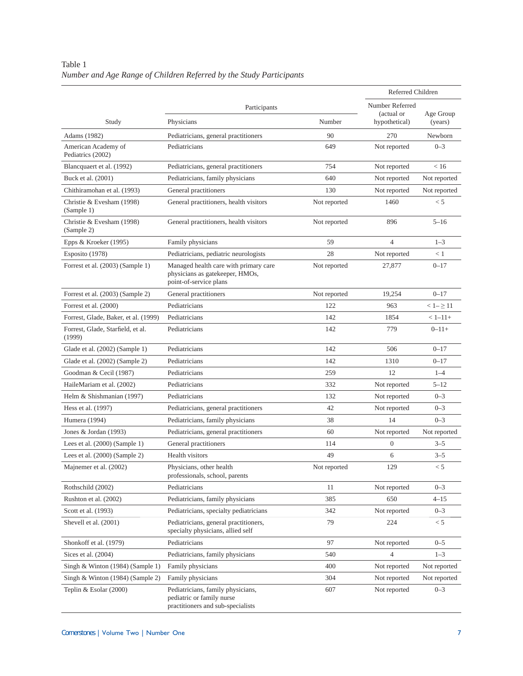# Table 1 *Number and Age Range of Children Referred by the Study Participants*

|                                             |                                                                                                                    |              | Referred Children           |                      |
|---------------------------------------------|--------------------------------------------------------------------------------------------------------------------|--------------|-----------------------------|----------------------|
|                                             | Participants                                                                                                       |              | Number Referred             |                      |
| Study                                       | Physicians                                                                                                         | Number       | (actual or<br>hypothetical) | Age Group<br>(years) |
| Adams (1982)                                | Pediatricians, general practitioners                                                                               | 90           | 270                         | Newborn              |
| American Academy of<br>Pediatrics (2002)    | Pediatricians<br>649                                                                                               |              | Not reported                | $0 - 3$              |
| Blancquaert et al. (1992)                   | Pediatricians, general practitioners                                                                               | 754          | Not reported                | < 16                 |
| Buck et al. (2001)                          | Pediatricians, family physicians                                                                                   | 640          | Not reported                | Not reported         |
| Chithiramohan et al. (1993)                 | General practitioners                                                                                              | 130          | Not reported                | Not reported         |
| Christie & Evesham (1998)<br>(Sample 1)     | General practitioners, health visitors                                                                             | Not reported | 1460                        | < 5                  |
| Christie & Evesham (1998)<br>(Sample 2)     | General practitioners, health visitors                                                                             | Not reported | 896                         | $5 - 16$             |
| Epps & Kroeker (1995)                       | Family physicians                                                                                                  | 59           | $\overline{4}$              | $1 - 3$              |
| Esposito (1978)                             | Pediatricians, pediatric neurologists                                                                              | 28           | Not reported                | < 1                  |
| Forrest et al. (2003) (Sample 1)            | Managed health care with primary care<br>Not reported<br>physicians as gatekeeper, HMOs,<br>point-of-service plans |              | 27,877                      | $0 - 17$             |
| Forrest et al. (2003) (Sample 2)            | General practitioners                                                                                              | Not reported | 19,254                      | $0 - 17$             |
| Forrest et al. (2000)                       | Pediatricians                                                                                                      | 122          | 963                         | $<1- \geq 11$        |
| Forrest, Glade, Baker, et al. (1999)        | Pediatricians                                                                                                      | 142          | 1854                        | $< 1 - 11 +$         |
| Forrest, Glade, Starfield, et al.<br>(1999) | Pediatricians                                                                                                      | 142          | 779                         | $0 - 11 +$           |
| Glade et al. (2002) (Sample 1)              | Pediatricians                                                                                                      | 142          | 506                         | $0 - 17$             |
| Glade et al. (2002) (Sample 2)              | Pediatricians                                                                                                      | 142          | 1310                        | $0 - 17$             |
| Goodman & Cecil (1987)                      | Pediatricians                                                                                                      | 259          | 12                          | $1 - 4$              |
| HaileMariam et al. (2002)                   | Pediatricians                                                                                                      | 332          | Not reported                | $5 - 12$             |
| Helm & Shishmanian (1997)                   | Pediatricians                                                                                                      | 132          | Not reported                | $0 - 3$              |
| Hess et al. (1997)                          | Pediatricians, general practitioners                                                                               | 42           | Not reported                | $0 - 3$              |
| Humera (1994)                               | Pediatricians, family physicians                                                                                   | 38           | 14                          | $0 - 3$              |
| Jones & Jordan (1993)                       | Pediatricians, general practitioners                                                                               | 60           | Not reported                | Not reported         |
| Lees et al. $(2000)$ (Sample 1)             | General practitioners                                                                                              | 114          | $\overline{0}$              | $3 - 5$              |
| Lees et al. $(2000)$ (Sample 2)             | Health visitors                                                                                                    | 49           | 6                           | $3 - 5$              |
| Majnemer et al. (2002)                      | Physicians, other health<br>professionals, school, parents                                                         | Not reported | 129                         | < 5                  |
| Rothschild (2002)                           | Pediatricians                                                                                                      | 11           | Not reported                | $0 - 3$              |
| Rushton et al. (2002)                       | Pediatricians, family physicians                                                                                   | 385          | 650                         | $4 - 15$             |
| Scott et al. (1993)                         | Pediatricians, specialty pediatricians                                                                             | 342          | Not reported                | $0 - 3$              |
| Shevell et al. (2001)                       | Pediatricians, general practitioners,<br>specialty physicians, allied self                                         | 79           | 224                         | < 5                  |
| Shonkoff et al. (1979)                      | Pediatricians                                                                                                      | 97           | Not reported                | $0 - 5$              |
| Sices et al. (2004)                         | Pediatricians, family physicians                                                                                   | 540          | $\overline{4}$              | $1 - 3$              |
| Singh & Winton (1984) (Sample 1)            | Family physicians                                                                                                  | 400          | Not reported                | Not reported         |
| Singh & Winton (1984) (Sample 2)            | Family physicians                                                                                                  | 304          | Not reported                | Not reported         |
| Teplin & Esolar (2000)                      | Pediatricians, family physicians,<br>pediatric or family nurse<br>practitioners and sub-specialists                | 607          | Not reported                | $0 - 3$              |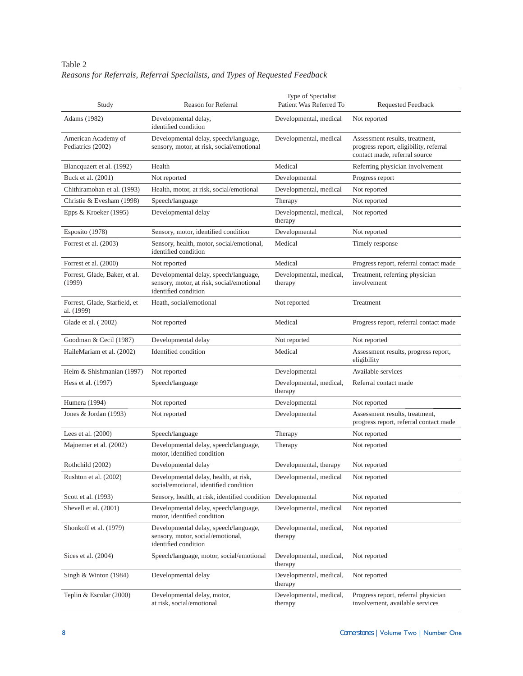| Table 2                                                                      |  |  |
|------------------------------------------------------------------------------|--|--|
| Reasons for Referrals, Referral Specialists, and Types of Requested Feedback |  |  |

| Study                                       | <b>Reason for Referral</b>                                                                                 | Type of Specialist<br>Patient Was Referred To | Requested Feedback                                                                                        |
|---------------------------------------------|------------------------------------------------------------------------------------------------------------|-----------------------------------------------|-----------------------------------------------------------------------------------------------------------|
| Adams (1982)                                | Developmental delay,<br>identified condition                                                               | Developmental, medical                        | Not reported                                                                                              |
| American Academy of<br>Pediatrics (2002)    | Developmental delay, speech/language,<br>sensory, motor, at risk, social/emotional                         | Developmental, medical                        | Assessment results, treatment,<br>progress report, eligibility, referral<br>contact made, referral source |
| Blancquaert et al. (1992)                   | Health                                                                                                     | Medical                                       | Referring physician involvement                                                                           |
| Buck et al. (2001)                          | Not reported                                                                                               | Developmental                                 | Progress report                                                                                           |
| Chithiramohan et al. (1993)                 | Health, motor, at risk, social/emotional                                                                   | Developmental, medical                        | Not reported                                                                                              |
| Christie & Evesham (1998)                   | Speech/language                                                                                            | Therapy                                       | Not reported                                                                                              |
| Epps $&$ Kroeker (1995)                     | Developmental delay                                                                                        | Developmental, medical,<br>therapy            | Not reported                                                                                              |
| Esposito (1978)                             | Sensory, motor, identified condition                                                                       | Developmental                                 | Not reported                                                                                              |
| Forrest et al. (2003)                       | Sensory, health, motor, social/emotional,<br>identified condition                                          | Medical                                       | Timely response                                                                                           |
| Forrest et al. (2000)                       | Not reported                                                                                               | Medical                                       | Progress report, referral contact made                                                                    |
| Forrest, Glade, Baker, et al.<br>(1999)     | Developmental delay, speech/language,<br>sensory, motor, at risk, social/emotional<br>identified condition | Developmental, medical,<br>therapy            | Treatment, referring physician<br>involvement                                                             |
| Forrest, Glade, Starfield, et<br>al. (1999) | Heath, social/emotional                                                                                    | Not reported                                  | Treatment                                                                                                 |
| Glade et al. (2002)                         | Not reported                                                                                               | Medical                                       | Progress report, referral contact made                                                                    |
| Goodman & Cecil (1987)                      | Developmental delay                                                                                        | Not reported                                  | Not reported                                                                                              |
| HaileMariam et al. (2002)                   | Identified condition                                                                                       | Medical                                       | Assessment results, progress report,<br>eligibility                                                       |
| Helm & Shishmanian (1997)                   | Not reported                                                                                               | Developmental                                 | Available services                                                                                        |
| Hess et al. (1997)                          | Speech/language                                                                                            | Developmental, medical,<br>therapy            | Referral contact made                                                                                     |
| Humera (1994)                               | Not reported                                                                                               | Developmental                                 | Not reported                                                                                              |
| Jones & Jordan (1993)                       | Not reported                                                                                               | Developmental                                 | Assessment results, treatment,<br>progress report, referral contact made                                  |
| Lees et al. $(2000)$                        | Speech/language                                                                                            | Therapy                                       | Not reported                                                                                              |
| Majnemer et al. (2002)                      | Developmental delay, speech/language,<br>motor, identified condition                                       | Therapy                                       | Not reported                                                                                              |
| Rothchild (2002)                            | Developmental delay                                                                                        | Developmental, therapy                        | Not reported                                                                                              |
| Rushton et al. (2002)                       | Developmental delay, health, at risk,<br>social/emotional, identified condition                            | Developmental, medical                        | Not reported                                                                                              |
| Scott et al. (1993)                         | Sensory, health, at risk, identified condition Developmental                                               |                                               | Not reported                                                                                              |
| Shevell et al. (2001)                       | Developmental delay, speech/language,<br>motor, identified condition                                       | Developmental, medical                        | Not reported                                                                                              |
| Shonkoff et al. (1979)                      | Developmental delay, speech/language,<br>sensory, motor, social/emotional,<br>identified condition         | Developmental, medical,<br>therapy            | Not reported                                                                                              |
| Sices et al. (2004)                         | Speech/language, motor, social/emotional                                                                   | Developmental, medical,<br>therapy            | Not reported                                                                                              |
| Singh & Winton (1984)                       | Developmental delay                                                                                        | Developmental, medical,<br>therapy            | Not reported                                                                                              |
| Teplin & Escolar (2000)                     | Developmental delay, motor,<br>at risk, social/emotional                                                   | Developmental, medical,<br>therapy            | Progress report, referral physician<br>involvement, available services                                    |